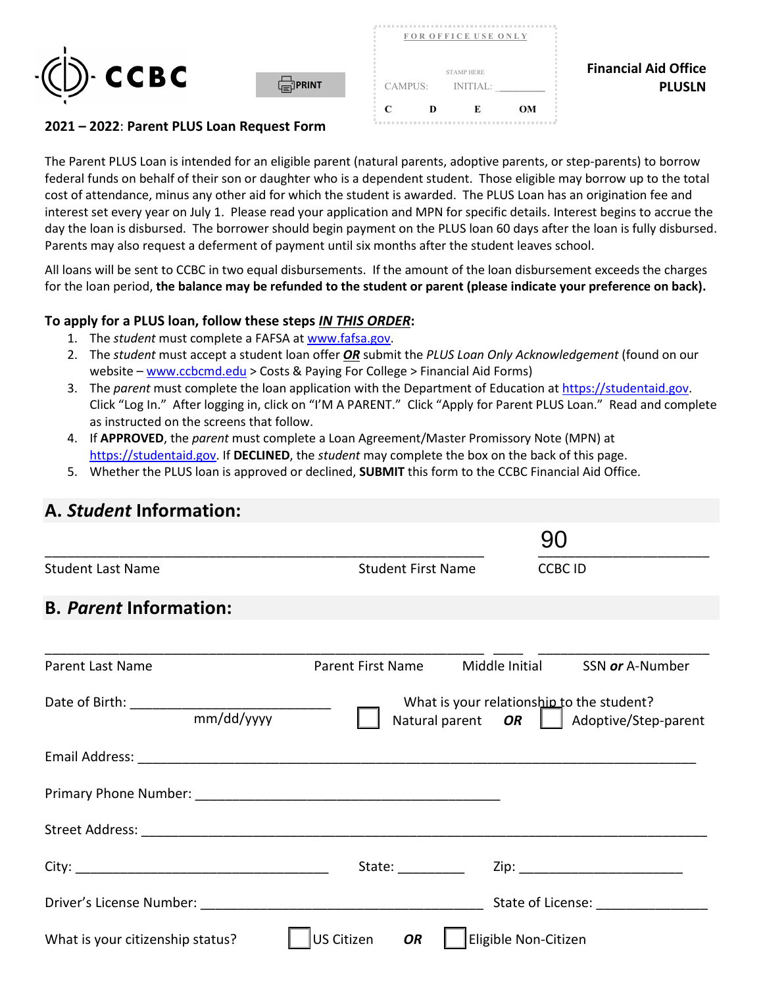

 **FOR OFFICE USE ONLY** CAMPUS: INITIAL: \_\_\_\_\_\_\_\_\_\_ **PLUSLN**  STAMP HERE **C D E OM** 

# **Financial Aid Office**

#### **2021 – 2022**: **Parent PLUS Loan Request Form**

 cost of attendance, minus any other aid for which the student is awarded. The PLUS Loan has an origination fee and interest set every year on July 1. Please read your application and MPN for specific details. Interest begins to accrue the day the loan is disbursed. The borrower should begin payment on the PLUS loan 60 days after the loan is fully disbursed. Parents may also request a deferment of payment until six months after the student leaves school. The Parent PLUS Loan is intended for an eligible parent (natural parents, adoptive parents, or step-parents) to borrow federal funds on behalf of their son or daughter who is a dependent student. Those eligible may borrow up to the total

**PRINT** 

 All loans will be sent to CCBC in two equal disbursements. If the amount of the loan disbursement exceeds the charges for the loan period, **the balance may be refunded to the student or parent (please indicate your preference on back).** 

#### **To apply for a PLUS loan, follow these steps** *IN THIS ORDER***:**

- 1. The *student* must complete a FAFSA a[t www.fafsa.gov.](http://www.fafsa.gov/)
- 2. The *student* must accept a student loan offer *OR* submit the *PLUS Loan Only Acknowledgement* (found on our website [– www.ccbcmd.edu](http://www.ccbcmd.edu/) > Costs & Paying For College > Financial Aid Forms)
- Click "Log In." After logging in, click on "I'M A PARENT." Click "Apply for Parent PLUS Loan." Read and complete 3. The *parent* must complete the loan application with the Department of Education at [https://studentaid.gov.](https://studentaid.gov/) as instructed on the screens that follow.
- [https://studentaid.gov.](https://studentaid.gov/) If **DECLINED**, the *student* may complete the box on the back of this page. 4. If **APPROVED**, the *parent* must complete a Loan Agreement/Master Promissory Note (MPN) at
- 5. Whether the PLUS loan is approved or declined, **SUBMIT** this form to the CCBC Financial Aid Office.

# **A.** *Student* **Information:**

|                                  |                                                                                                                 | 90                                  |  |
|----------------------------------|-----------------------------------------------------------------------------------------------------------------|-------------------------------------|--|
| <b>Student Last Name</b>         | <b>Student First Name</b>                                                                                       | <b>CCBC ID</b>                      |  |
| <b>B.</b> Parent Information:    |                                                                                                                 |                                     |  |
| Parent Last Name                 | <b>Parent First Name</b>                                                                                        | SSN or A-Number                     |  |
|                                  |                                                                                                                 | Middle Initial                      |  |
| mm/dd/yyyy                       | What is your relationship to the student?<br>Natural parent $OR$    <br>Adoptive/Step-parent                    |                                     |  |
|                                  |                                                                                                                 |                                     |  |
|                                  |                                                                                                                 |                                     |  |
|                                  |                                                                                                                 |                                     |  |
|                                  | State: and the state of the state of the state of the state of the state of the state of the state of the state | Zip: ________________________       |  |
|                                  |                                                                                                                 | State of License: State of License: |  |
| What is your citizenship status? | US Citizen<br><b>OR</b>                                                                                         | Eligible Non-Citizen                |  |